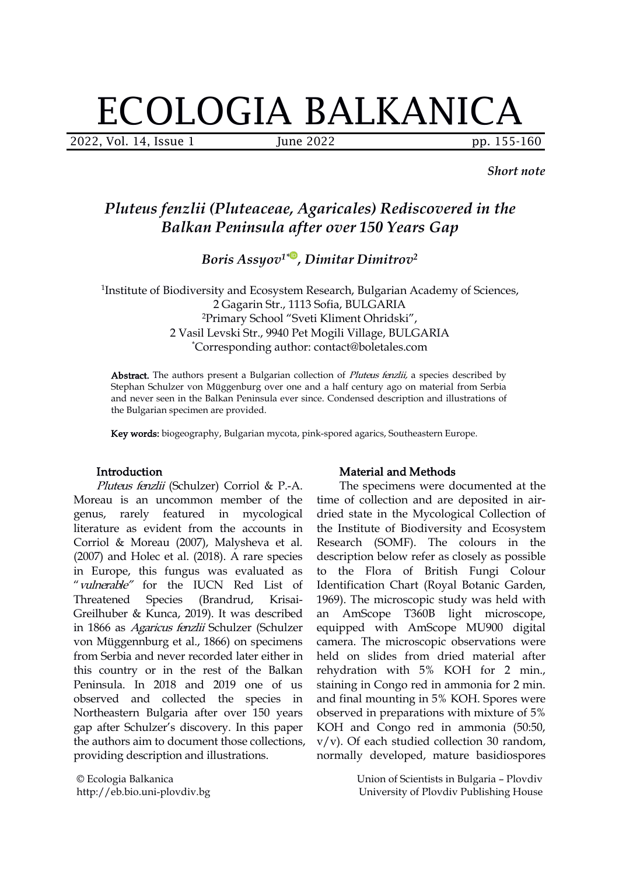# ECOLOGIA BALKANICA

2022, Vol. 14, Issue 1 June 2022 pp. 155-160

*Short note*

## *Pluteus fenzlii (Pluteaceae, Agaricales) Rediscovered in the Balkan Peninsula after over 150 Years Gap*

*Boris Assyov 1\* , Dimitar Dimitrov 2*

<sup>1</sup>Institute of Biodiversity and Ecosystem Research, Bulgarian Academy of Sciences, 2 Gagarin Str., 1113 Sofia, BULGARIA <sup>2</sup>Primary School "Sveti Kliment Ohridski", 2 Vasil Levski Str., 9940 Pet Mogili Village, BULGARIA \*Corresponding author: contact@boletales.com

Abstract. The authors present a Bulgarian collection of *Pluteus fenzlii*, a species described by Stephan Schulzer von Müggenburg over one and a half century ago on material from Serbia and never seen in the Balkan Peninsula ever since. Condensed description and illustrations of the Bulgarian specimen are provided.

Key words: biogeography, Bulgarian mycota, pink-spored agarics, Southeastern Europe.

#### Introduction

Pluteus fenzlii (Schulzer) Corriol & P.-A. Moreau is an uncommon member of the genus, rarely featured in mycological literature as evident from the accounts in Corriol & Moreau (2007), Malysheva et al. (2007) and Holec et al.(2018). A rare species in Europe, this fungus was evaluated as "vulnerable" for the IUCN Red List of Threatened Species (Brandrud, Krisai- Greilhuber & Kunca, 2019). It was described in 1866 as Agaricus fenzlii Schulzer (Schulzer von Müggennburg et al., 1866) on specimens from Serbia and never recorded later either in this country or in the rest of the Balkan Peninsula. In 2018 and 2019 one of us observed and collected the species in Northeastern Bulgaria after over 150 years gap after Schulzer's discovery. In this paper the authors aim to document those collections, providing description and illustrations.

© Ecologia Balkanica http://eb.bio.uni-plovdiv.bg

#### Material and Methods

The specimens were documented at the time of collection and are deposited in air dried state in the Mycological Collection of the Institute of Biodiversity and Ecosystem Research (SOMF). The colours in the description below refer as closely as possible to the Flora of British Fungi Colour Identification Chart (Royal Botanic Garden, 1969). The microscopic study was held with an AmScope T360B light microscope, equipped with AmScope MU900 digital camera. The microscopic observations were held on slides from dried material after rehydration with 5% KOH for 2 min., staining in Congo red in ammonia for 2 min. and final mounting in 5% KOH. Spores were observed in preparations with mixture of 5% KOH and Congo red in ammonia (50:50, v/v). Of each studied collection 30 random, normally developed, mature basidiospores

> Union of Scientists in Bulgaria – Plovdiv University of Plovdiv Publishing House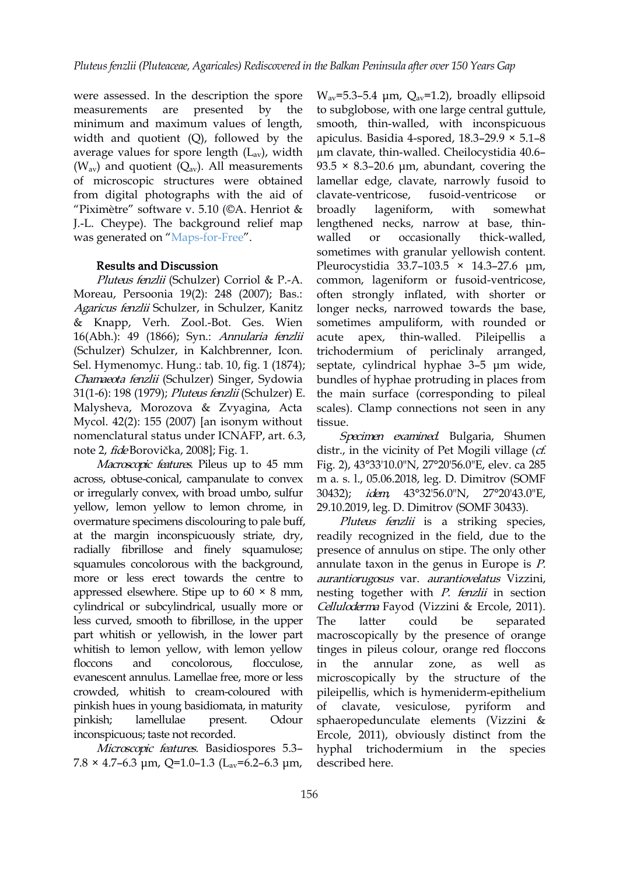were assessed. In the description the spore minimum and maximum values of length, width and quotient (Q), followed by the average values for spore length  $(L_{av})$ , width ( $W_{av}$ ) and quotient ( $Q_{av}$ ). All measurements of microscopic structures were obtained from digital photographs with the aid of "Piximètre" software v. 5.10 ( $\odot$ A. Henriot & broadly lageniform, with J.-L. Cheype). The background relief map was generated on "[Maps-for-Free](https://maps-for-free.com/)".

### Results and Discussion

Pluteus fenzlii (Schulzer) Corriol & P.-A. Moreau, Persoonia 19(2): 248 (2007); Bas.: Agaricus fenzlii Schulzer, in Schulzer, Kanitz & Knapp, Verh. Zool.-Bot. Ges. Wien 16(Abh.): 49 (1866); Syn.: Annularia fenzlii acute apex, (Schulzer) Schulzer, in Kalchbrenner, Icon. Sel. Hymenomyc. Hung.: tab. 10, fig. 1 (1874); Chamaeota fenzlii (Schulzer) Singer, Sydowia 31(1-6): 198 (1979); Pluteus fenzlii (Schulzer) E. Malysheva, Morozova & Zvyagina, Acta Mycol. 42(2): 155 (2007) [an isonym without nomenclatural status under ICNAFP, art. 6.3, note 2, fideBorovička, 2008]; Fig. 1.

Macroscopic features. Pileus up to 45 mm across, obtuse-conical, campanulate to convex or irregularly convex, with broad umbo, sulfur yellow, lemon yellow to lemon chrome, in overmature specimens discolouring to pale buff, at the margin inconspicuously striate, dry, radially fibrillose and finely squamulose; squamules concolorous with the background, more or less erect towards the centre to appressed elsewhere. Stipe up to  $60 \times 8$  mm, cylindrical or subcylindrical, usually more or less curved, smooth to fibrillose, in the upper part whitish or yellowish, in the lower part whitish to lemon yellow, with lemon yellow floccons and concolorous, flocculose, in evanescent annulus. Lamellae free, more or less crowded, whitish to cream-coloured with pinkish hues in young basidiomata, in maturity inconspicuous; taste not recorded.

Microscopic features. Basidiospores 5.3–  $7.8 \times 4.7$ –6.3 μm, Q=1.0–1.3 (L<sub>av</sub>=6.2–6.3 μm,

measurements are presented by the to subglobose, with one large central guttule,  $W_{av}$ =5.3–5.4 μm,  $Q_{av}$ =1.2), broadly ellipsoid smooth, thin-walled, with inconspicuous apiculus. Basidia 4-spored, 18.3–29.9 × 5.1–8 µm clavate, thin-walled. Cheilocystidia 40.6– 93.5  $\times$  8.3–20.6 µm, abundant, covering the lamellar edge, clavate, narrowly fusoid to clavate-ventricose, fusoid-ventricose or lageniform, with somewhat lengthened necks, narrow at base, thin walled or occasionally thick-walled, sometimes with granular yellowish content. Pleurocystidia 33.7–103.5 × 14.3–27.6 μm, common, lageniform or fusoid-ventricose, often strongly inflated, with shorter or longer necks, narrowed towards the base, sometimes ampuliform, with rounded or thin-walled. Pileipellis trichodermium of periclinaly arranged, septate, cylindrical hyphae 3–5 μm wide, bundles of hyphae protruding in places from the main surface (corresponding to pileal scales). Clamp connections not seen in any tissue.

> Specimen examined. Bulgaria, Shumen distr., in the vicinity of Pet Mogili village  $(cf.$ Fig. 2), 43°33'10.0"N, 27°20'56.0"E, elev. ca 285 m a. s. l., 05.06.2018, leg. D. Dimitrov (SOMF 30432); idem, 43°32'56.0"N, 27°20'43.0"E, 29.10.2019, leg. D. Dimitrov (SOMF 30433).

pinkish; lamellulae present. Odour sphaeropedunculate elements (Vizzini & Pluteus fenzlii is a striking species, readily recognized in the field, due to the presence of annulus on stipe. The only other annulate taxon in the genus in Europe is *.* aurantiorugosus var. aurantiovelatus Vizzini, nesting together with P. fenzlii in section Celluloderma Fayod (Vizzini & Ercole, 2011). could be separated macroscopically by the presence of orange tinges in pileus colour, orange red floccons the annular zone, as well as microscopically by the structure of the pileipellis, which is hymeniderm-epithelium vesiculose, pyriform and Ercole, 2011), obviously distinct from the hyphal trichodermium in the species described here.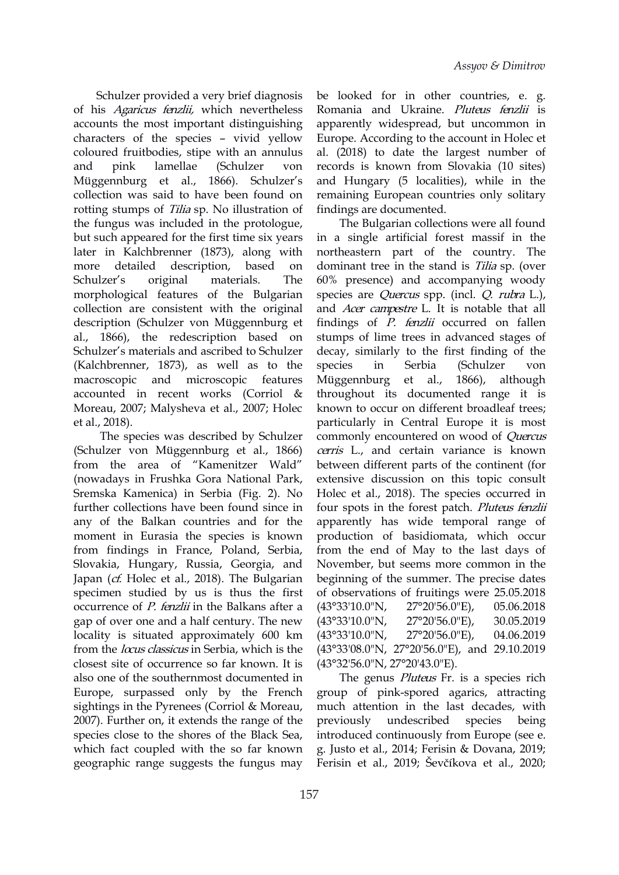Schulzer provided a very brief diagnosis of his Agaricus fenzlii, which nevertheless accounts the most important distinguishing characters of the species – vivid yellow coloured fruitbodies, stipe with an annulus Müggennburg et al., 1866). Schulzer's collection was said to have been found on rotting stumps of Tilia sp. No illustration of the fungus was included in the protologue, but such appeared for the first time six years later in Kalchbrenner (1873), along w[ith](https://orcid.org/0000-0002-7365-2443) morphological features of the Bulgarian collection are consistent with the original description (Schulzer von Müggennburg et al., 1866), the redescription based on Schulzer's materials and ascribed to Schulzer (Kalchbrenner, 1873), as well as to the species in Serbia accounted in recent works (Corriol & Moreau, 2007; Malysheva et al., 2007; Holec et al., 2018).

The species was described by Schulzer (Schulzer von Müggennburg et al., 1866) from the area of "Kamenitzer Wald" (nowadays in Frushka Gora National Park, Sremska Kamenica) in Serbia (Fig. 2). No further collections have been found since in any of the Balkan countries and for the moment in Eurasia the species is known from findings in France, Poland, Serbia, Slovakia, Hungary, Russia, Georgia, and Japan (cf. Holec et al., 2018). The Bulgarian specimen studied by us is thus the first occurrence of *P. fenzlii* in the Balkans after a  $(43°33'10.0''N, 27°20'56.0''E)$ , gap of over one and a half century. The new  $(43^{\circ}33'10.0^{\circ}N, 27^{\circ}20'56.0^{\circ}E)$ , locality is situated approximately 600 km (43°33'10.0"N, 27°20'56.0"E), 04.06.2019 from the *locus classicus* in Serbia, which is the closest site of occurrence so far known. It is also one of the southernmost documented in Europe, surpassed only by the French sightings in the Pyrenees (Corriol & Moreau, 2007). Further on, it extends the range of the previously species close to the shores of the Black Sea, which fact coupled with the so far known geographic range suggests the fungus may

and pink lamellae (Schulzer von records is known from Slovakia (10 sites) be looked for in other countries, e. g. Romania and Ukraine. Pluteus fenzlii is apparently widespread, but uncommon in Europe. According to the account in Holec et al.(2018) to date the largest number of and Hungary (5 localities), while in the remaining European countries only solitary findings are documented.

more detailed description, based on dominant-tree-in-the-stand-is-*Tilia*-sp. (over Schulzer's original materials. The 60% presence) and accompanying woody macroscopic and microscopic features Müggennburg et al., 1866), although The Bulgarian collections were all found in a single artificial forest massif in the northeastern part of the country. The species are *Quercus* spp. (incl. *Q. rubra L.*), and Acer campestre L. It is notable that all findings of  $P$ . fenzlii occurred on fallen stumps of lime trees in advanced stages of decay, similarly to the first finding of the (Schulzer von throughout its documented range it is known to occur on different broadleaf trees; particularly in Central Europe it is most commonly encountered on wood of Quercus cerris L., and certain variance is known between different parts of the continent (for extensive discussion on this topic consult Holec et al., 2018). The species occurred in four spots in the forest patch. Pluteus fenzlii apparently has wide temporal range of production of basidiomata, which occur from the end of May to the last days of November, but seems more common in the beginning of the summer. The precise dates of observations of fruitings were 25.05.2018 (43°33'10.0"N, 27°20'56.0"E), 05.06.2018 (43°33'10.0"N, 27°20'56.0"E), 30.05.2019  $(43°33'10.0"N,$ (43°33'08.0"N, 27°20'56.0"E), and 29.10.2019 (43°32'56.0"N, 27°20'43.0"E).

The genus *Pluteus* Fr. is a species rich group of pink-spored agarics, attracting much attention in the last decades, with undescribed species being introduced continuously from Europe (see e. g. Justo et al., 2014; Ferisin & Dovana, 2019; Ferisin et al., 2019; Ševčíkova et al., 2020;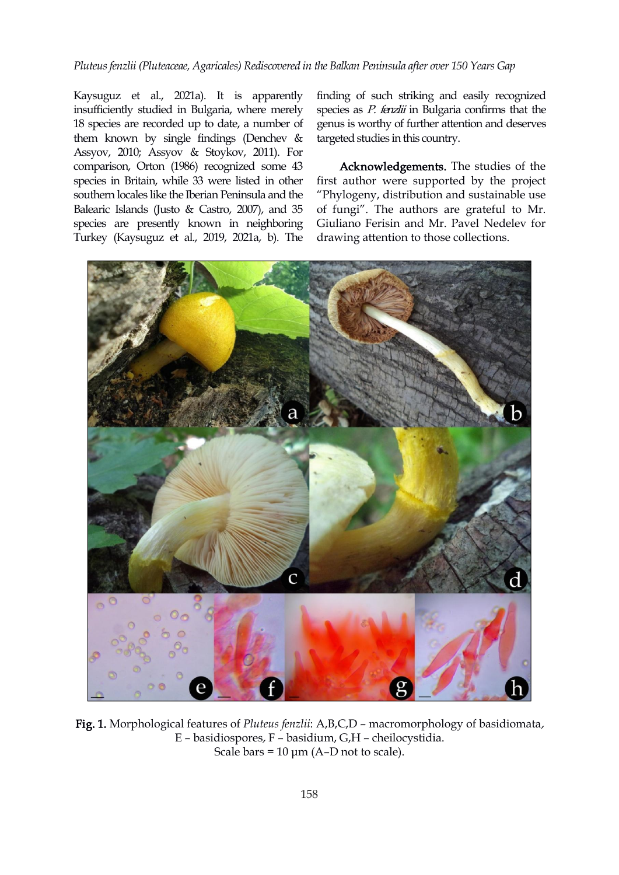#### *Pluteusfenzlii (Pluteaceae, Agaricales) Rediscovered in the Balkan Peninsula after over 150 Years Gap*

Kaysuguz et al., 2021a). It is apparently insufficiently studied in Bulgaria, where merely 18 species are recorded up to date, a number of them known by single findings (Denchev & Assyov, 2010; Assyov & Stoykov, 2011). For comparison, Orton (1986) recognized some 43 species in Britain, while 33 were listed in other southern locales like the Iberian Peninsula and the Balearic Islands (Justo & Castro, 2007), and 35 species are presently known in neighboring Turkey (Kaysuguz et al., 2019, 2021a, b). The

finding of such striking and easily recognized species as *P. fenzlii* in Bulgaria confirms that the genus is worthy of further attention and deserves targeted studies in this country.

Acknowledgements. The studies of the first author were supported by the project "Phylogeny, distribution and sustainable use of fungi". The authors are grateful to Mr. Giuliano Ferisin and Mr. Pavel Nedelev for drawing attention to those collections.



Fig. 1. Morphological features of *Pluteus fenzlii*: A,B,C,D – macromorphology of basidiomata, E – basidiospores, F – basidium, G,H – cheilocystidia. Scale bars =  $10 \mu m$  (A-D not to scale).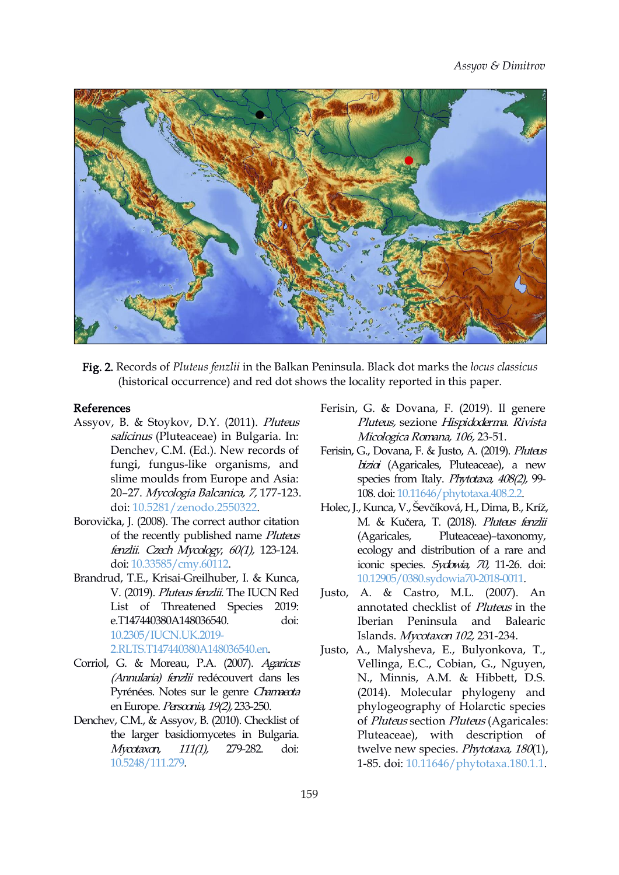

Fig. 2. Records of *Pluteus fenzlii* in the Balkan Peninsula. Black dot marks the *locus classicus* (historical occurrence) and red dot shows the locality reported in this paper.

#### References

- Assyov, B. & Stoykov, D.Y. (2011). Pluteus salicinus (Pluteaceae) in Bulgaria. In: Denchev, C.M. (Ed.). New records of fungi, fungus-like organisms, and slime moulds from Europe and Asia: 20–27. Mycologia Balcanica, 7, 177-123. doi: [10.5281/zenodo.2550322](https://doi.org/10.5281/zenodo.2550322).
- Borovička, J. (2008). The correct author citation of the recently published name *Pluteus* (Agaricales, fenzlii. Czech Mycology, 60(1), 123-124. doi: [10.33585/cmy.60112.](https://doi.org/10.33585/cmy.60112)
- Brandrud, T.E., Krisai-Greilhuber, I. & Kunca, V. (2019). Pluteus fenzlii. The IUCN Red List of Threatened Species 2019: e.T147440380A148036540. doi: [10.2305/IUCN.UK.2019-](https://dx.doi.org/10.2305/IUCN.UK.2019-2.RLTS.T147440380A148036540.en) 2.RLTS.T147440380A148036540.en.
- Corriol, G. & Moreau, P.A. (2007). Agaricus (Annularia) fenzli redécouvert dans les Pyrénées. Notes sur le genre Chamaeota en Europe. Persoonia, 19(2), 233-250.
- Denchev, C.M., & Assyov, B. (2010). Checklist of the larger basidiomycetes in Bulgaria. Mycotaxon, 111(1), 279-282. doi: [10.5248/111.279](https://doi.org/10.5248/111.279).
- Ferisin, G. & Dovana, F. (2019). Il genere Pluteus, sezione Hispidoderma. Rivista Micologica Romana, 106, 23-51.
- Ferisin, G., Dovana, F. & Justo, A. (2019). Pluteus bizioi (Agaricales, Pluteaceae), a new species from Italy. Phytotaxa, 408(2), 99-108.doi: [10.11646/phytotaxa.408.2.2.](https://doi.org/10.11646/phytotaxa.408.2.2)
- Holec,J., Kunca, V., Ševčíková, H., Dima, B., Kríž, M. & Kučera, T. (2018). Pluteus fenzli Pluteaceae)–taxonomy, ecology and distribution of a rare and iconic species. Sydowia, 70, 11-26. doi: [10.12905/0380.sydowia70-2018-0011.](https://doi.org/10.12905/0380.sydowia70-2018-0011)
- Justo, A. & Castro, M.L. (2007). An annotated checklist of Pluteus in the Iberian Peninsula and Balearic Islands. Mycotaxon 102, 231-234.
- Justo, A., Malysheva, E., Bulyonkova, T., Vellinga, E.C., Cobian, G., Nguyen, N., Minnis, A.M. & Hibbett, D.S. (2014). Molecular phylogeny and phylogeography of Holarctic species of Pluteus section Pluteus (Agaricales: Pluteaceae), with description of twelve new species. Phytotaxa, 180(1), 1-85. doi: [10.11646/phytotaxa.180.1.1](https://doi.org/10.11646/phytotaxa.180.1.1).